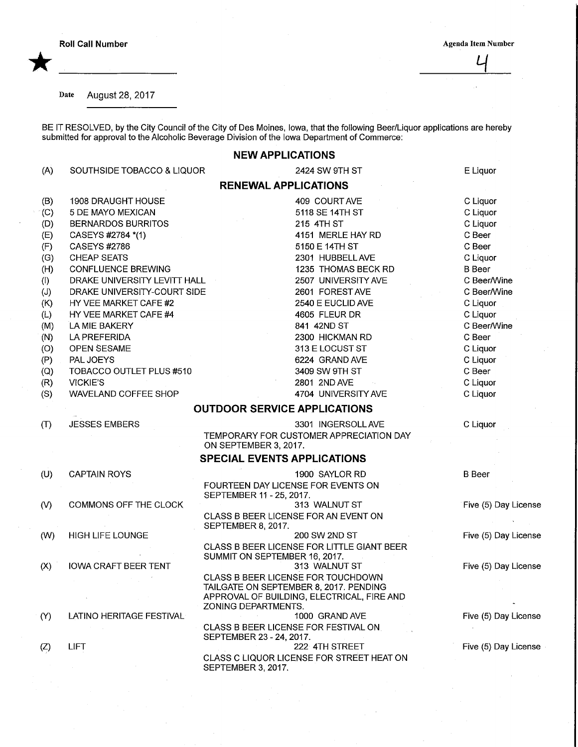Roll Call Number Agenda Item Number Agenda Item Number

\*

 $\mathcal{L}_{\mathcal{I}}$ 

Date August 28, 2017

BE IT RESOLVED, by the City Council of the City of Des Moines, Iowa, that the following Beer/Liquor applications are hereb submitted for approval to the Alcoholic Beverage Division of the Iowa Department of Commerce:

## NEW APPLICATIONS

|     |                              | <b>NEW AFFLIVATIONS</b>                                                             |                      |
|-----|------------------------------|-------------------------------------------------------------------------------------|----------------------|
| (A) | SOUTHSIDE TOBACCO & LIQUOR   | 2424 SW 9TH ST                                                                      | E Liquor             |
|     |                              | <b>RENEWAL APPLICATIONS</b>                                                         |                      |
| (B) | 1908 DRAUGHT HOUSE           | 409 COURT AVE                                                                       | C Liquor             |
| (C) | 5 DE MAYO MEXICAN            | 5118 SE 14TH ST                                                                     | C Liquor             |
| (D) | <b>BERNARDOS BURRITOS</b>    | 215 4TH ST                                                                          | C Liquor             |
| (E) | CASEYS #2784 *(1)            | 4151 MERLE HAY RD                                                                   | C Beer               |
| (F) | CASEYS #2786                 | 5150 E 14TH ST                                                                      | C Beer               |
| (G) | <b>CHEAP SEATS</b>           | 2301 HUBBELL AVE                                                                    | C Liquor             |
| (H) | <b>CONFLUENCE BREWING</b>    | 1235 THOMAS BECK RD                                                                 | <b>B</b> Beer        |
| (   | DRAKE UNIVERSITY LEVITT HALL | 2507 UNIVERSITY AVE                                                                 | C Beer/Wine          |
| (J) | DRAKE UNIVERSITY-COURT SIDE  | 2601 FOREST AVE                                                                     | C Beer/Wine          |
| (K) | HY VEE MARKET CAFE #2        | 2540 E EUCLID AVE                                                                   | C Liquor             |
| (L) | HY VEE MARKET CAFE #4        | 4605 FLEUR DR                                                                       | C Liquor             |
| (M) | LA MIE BAKERY                | 841 42ND ST                                                                         | C Beer/Wine          |
| (N) | LA PREFERIDA                 | 2300 HICKMAN RD                                                                     | C Beer               |
| (O) | <b>OPEN SESAME</b>           | 313 E LOCUST ST                                                                     | C Liquor             |
| (P) | PAL JOEYS                    | 6224 GRAND AVE                                                                      | C Liquor             |
| (Q) | TOBACCO OUTLET PLUS #510     | 3409 SW 9TH ST                                                                      | C Beer               |
| (R) | <b>VICKIE'S</b>              | 2801 2ND AVE                                                                        | C Liquor             |
| (S) | WAVELAND COFFEE SHOP         | 4704 UNIVERSITY AVE                                                                 | C Liquor             |
|     |                              | <b>OUTDOOR SERVICE APPLICATIONS</b>                                                 |                      |
| (1) | <b>JESSES EMBERS</b>         | 3301 INGERSOLL AVE                                                                  | C Liquor             |
|     |                              | TEMPORARY FOR CUSTOMER APPRECIATION DAY<br>ON SEPTEMBER 3, 2017.                    |                      |
|     |                              | <b>SPECIAL EVENTS APPLICATIONS</b>                                                  |                      |
| (U) | <b>CAPTAIN ROYS</b>          | 1900 SAYLOR RD                                                                      | <b>B</b> Beer        |
|     |                              | FOURTEEN DAY LICENSE FOR EVENTS ON                                                  |                      |
|     |                              | SEPTEMBER 11 - 25, 2017.                                                            |                      |
| (V) | COMMONS OFF THE CLOCK        | 313 WALNUT ST                                                                       | Five (5) Day License |
|     |                              | CLASS B BEER LICENSE FOR AN EVENT ON<br>SEPTEMBER 8, 2017.                          |                      |
| (W) | <b>HIGH LIFE LOUNGE</b>      | 200 SW 2ND ST                                                                       | Five (5) Day License |
|     |                              | CLASS B BEER LICENSE FOR LITTLE GIANT BEER                                          |                      |
|     |                              | SUMMIT ON SEPTEMBER 16, 2017.                                                       |                      |
| (X) | <b>IOWA CRAFT BEER TENT</b>  | 313 WALNUT ST                                                                       | Five (5) Day License |
|     |                              | <b>CLASS B BEER LICENSE FOR TOUCHDOWN</b><br>TAILGATE ON SEPTEMBER 8, 2017. PENDING |                      |
|     |                              | APPROVAL OF BUILDING, ELECTRICAL, FIRE AND                                          |                      |
|     |                              | ZONING DEPARTMENTS.                                                                 |                      |
| (Y) | LATINO HERITAGE FESTIVAL     | 1000 GRAND AVE                                                                      | Five (5) Day License |
|     |                              | CLASS B BEER LICENSE FOR FESTIVAL ON<br>SEPTEMBER 23 - 24, 2017.                    |                      |
| (Z) | LIFT                         | 222 4TH STREET                                                                      | Five (5) Day License |
|     |                              | CLASS C LIQUOR LICENSE FOR STREET HEAT ON<br>SEPTEMBER 3, 2017.                     |                      |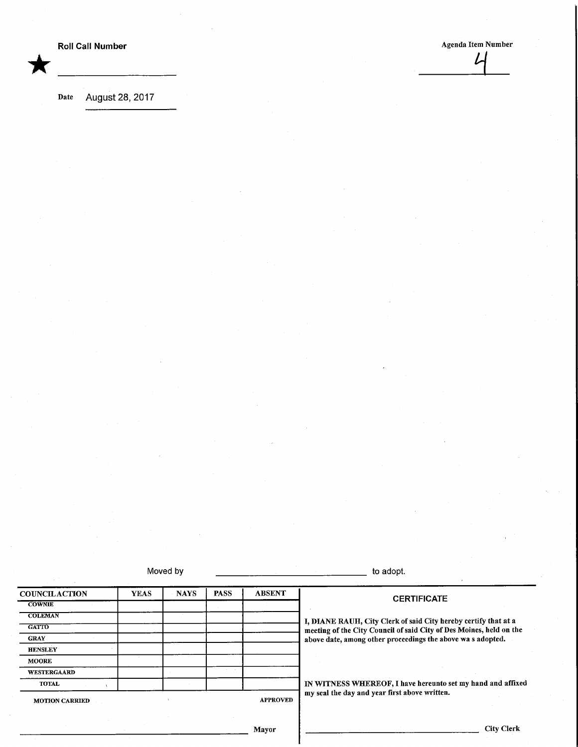\*

Agenda Item Number

Date August 28, 2017

Moved by to adopt.

| <b>COUNCILACTION</b>  | <b>YEAS</b> | <b>NAYS</b> | <b>PASS</b>     | <b>ABSENT</b> | <b>CERTIFICATE</b>                                                  |
|-----------------------|-------------|-------------|-----------------|---------------|---------------------------------------------------------------------|
| <b>COWNIE</b>         |             |             |                 |               |                                                                     |
| <b>COLEMAN</b>        |             |             |                 |               | I, DIANE RAUH, City Clerk of said City hereby certify that at a     |
| <b>GATTO</b>          |             |             |                 |               | meeting of the City Council of said City of Des Moines, held on the |
| <b>GRAY</b>           |             |             |                 |               | above date, among other proceedings the above was adopted.          |
| <b>HENSLEY</b>        |             |             |                 |               |                                                                     |
| <b>MOORE</b>          |             |             |                 |               |                                                                     |
| <b>WESTERGAARD</b>    |             |             |                 |               |                                                                     |
| <b>TOTAL</b>          |             |             |                 |               | IN WITNESS WHEREOF, I have hereunto set my hand and affixed         |
| <b>MOTION CARRIED</b> |             |             | <b>APPROVED</b> |               | my seal the day and year first above written.                       |
|                       |             |             |                 | Mayor         | <b>City Clerk</b>                                                   |